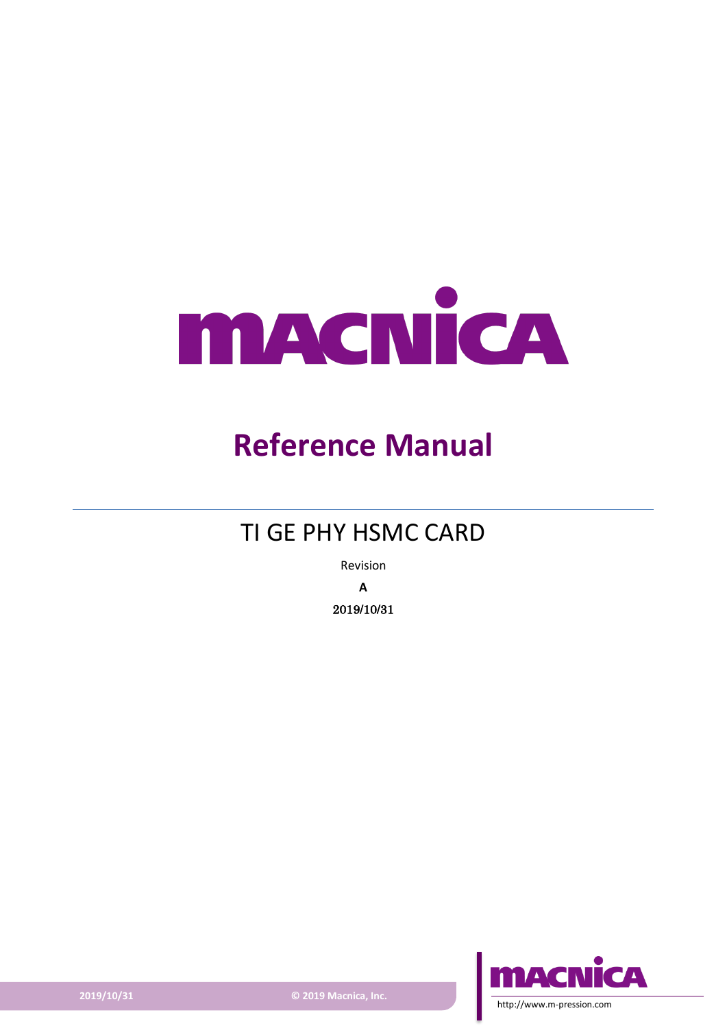

# **Reference Manual**

## TI GE PHY HSMC CARD

Revision **A** 2019/10/31



**2019/10/31 © 2019 Macnica, Inc.**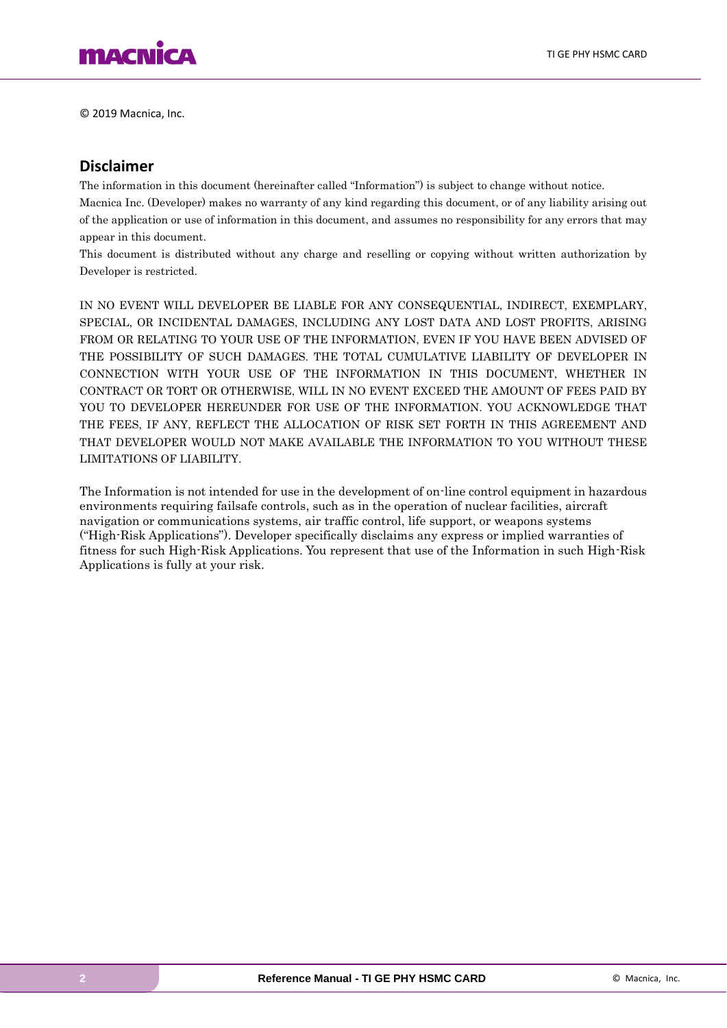

© 2019 Macnica, Inc.

#### **Disclaimer**

The information in this document (hereinafter called "Information") is subject to change without notice.

Macnica Inc. (Developer) makes no warranty of any kind regarding this document, or of any liability arising out of the application or use of information in this document, and assumes no responsibility for any errors that may appear in this document.

This document is distributed without any charge and reselling or copying without written authorization by Developer is restricted.

IN NO EVENT WILL DEVELOPER BE LIABLE FOR ANY CONSEQUENTIAL, INDIRECT, EXEMPLARY, SPECIAL, OR INCIDENTAL DAMAGES, INCLUDING ANY LOST DATA AND LOST PROFITS, ARISING FROM OR RELATING TO YOUR USE OF THE INFORMATION, EVEN IF YOU HAVE BEEN ADVISED OF THE POSSIBILITY OF SUCH DAMAGES. THE TOTAL CUMULATIVE LIABILITY OF DEVELOPER IN CONNECTION WITH YOUR USE OF THE INFORMATION IN THIS DOCUMENT, WHETHER IN CONTRACT OR TORT OR OTHERWISE, WILL IN NO EVENT EXCEED THE AMOUNT OF FEES PAID BY YOU TO DEVELOPER HEREUNDER FOR USE OF THE INFORMATION. YOU ACKNOWLEDGE THAT THE FEES, IF ANY, REFLECT THE ALLOCATION OF RISK SET FORTH IN THIS AGREEMENT AND THAT DEVELOPER WOULD NOT MAKE AVAILABLE THE INFORMATION TO YOU WITHOUT THESE LIMITATIONS OF LIABILITY.

The Information is not intended for use in the development of on-line control equipment in hazardous environments requiring failsafe controls, such as in the operation of nuclear facilities, aircraft navigation or communications systems, air traffic control, life support, or weapons systems ("High-Risk Applications"). Developer specifically disclaims any express or implied warranties of fitness for such High-Risk Applications. You represent that use of the Information in such High-Risk Applications is fully at your risk.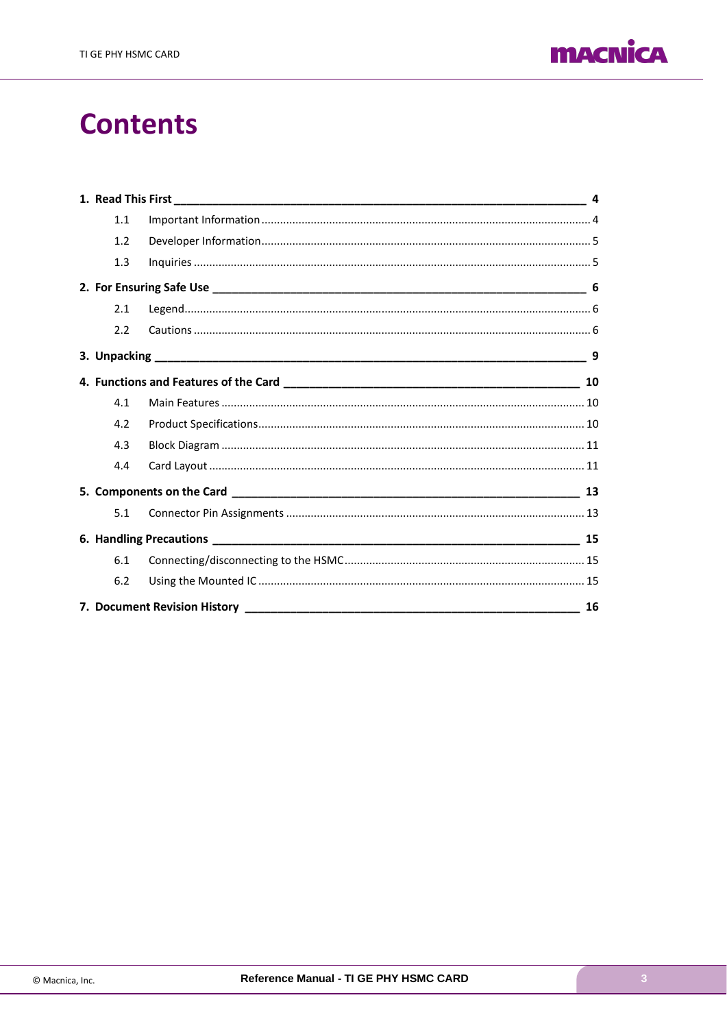

## **Contents**

| 1.1 |    |
|-----|----|
| 1.2 |    |
| 1.3 |    |
|     |    |
| 2.1 |    |
| 2.2 |    |
|     | 9  |
|     | 10 |
| 4.1 |    |
| 4.2 |    |
| 4.3 |    |
| 4.4 |    |
|     |    |
| 5.1 |    |
|     |    |
| 6.1 |    |
| 6.2 |    |
|     | 16 |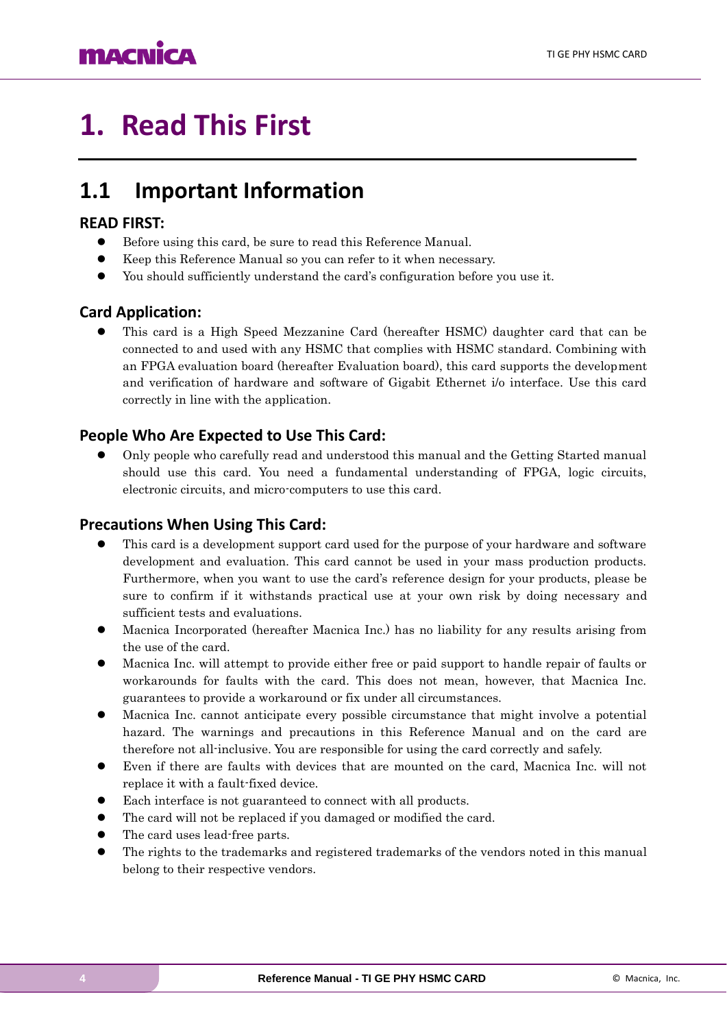## **MACNICA**

# <span id="page-3-0"></span>**1. Read This First**

### <span id="page-3-1"></span>**1.1 Important Information**

#### **READ FIRST:**

- ⚫ Before using this card, be sure to read this Reference Manual.
- ⚫ Keep this Reference Manual so you can refer to it when necessary.
- ⚫ You should sufficiently understand the card's configuration before you use it.

### **Card Application:**

⚫ This card is a High Speed Mezzanine Card (hereafter HSMC) daughter card that can be connected to and used with any HSMC that complies with HSMC standard. Combining with an FPGA evaluation board (hereafter Evaluation board), this card supports the development and verification of hardware and software of Gigabit Ethernet i/o interface. Use this card correctly in line with the application.

### **People Who Are Expected to Use This Card:**

⚫ Only people who carefully read and understood this manual and the Getting Started manual should use this card. You need a fundamental understanding of FPGA, logic circuits, electronic circuits, and micro-computers to use this card.

### **Precautions When Using This Card:**

- ⚫ This card is a development support card used for the purpose of your hardware and software development and evaluation. This card cannot be used in your mass production products. Furthermore, when you want to use the card's reference design for your products, please be sure to confirm if it withstands practical use at your own risk by doing necessary and sufficient tests and evaluations.
- ⚫ Macnica Incorporated (hereafter Macnica Inc.) has no liability for any results arising from the use of the card.
- ⚫ Macnica Inc. will attempt to provide either free or paid support to handle repair of faults or workarounds for faults with the card. This does not mean, however, that Macnica Inc. guarantees to provide a workaround or fix under all circumstances.
- ⚫ Macnica Inc. cannot anticipate every possible circumstance that might involve a potential hazard. The warnings and precautions in this Reference Manual and on the card are therefore not all-inclusive. You are responsible for using the card correctly and safely.
- ⚫ Even if there are faults with devices that are mounted on the card, Macnica Inc. will not replace it with a fault-fixed device.
- Each interface is not guaranteed to connect with all products.
- ⚫ The card will not be replaced if you damaged or modified the card.
- ⚫ The card uses lead-free parts.
- ⚫ The rights to the trademarks and registered trademarks of the vendors noted in this manual belong to their respective vendors.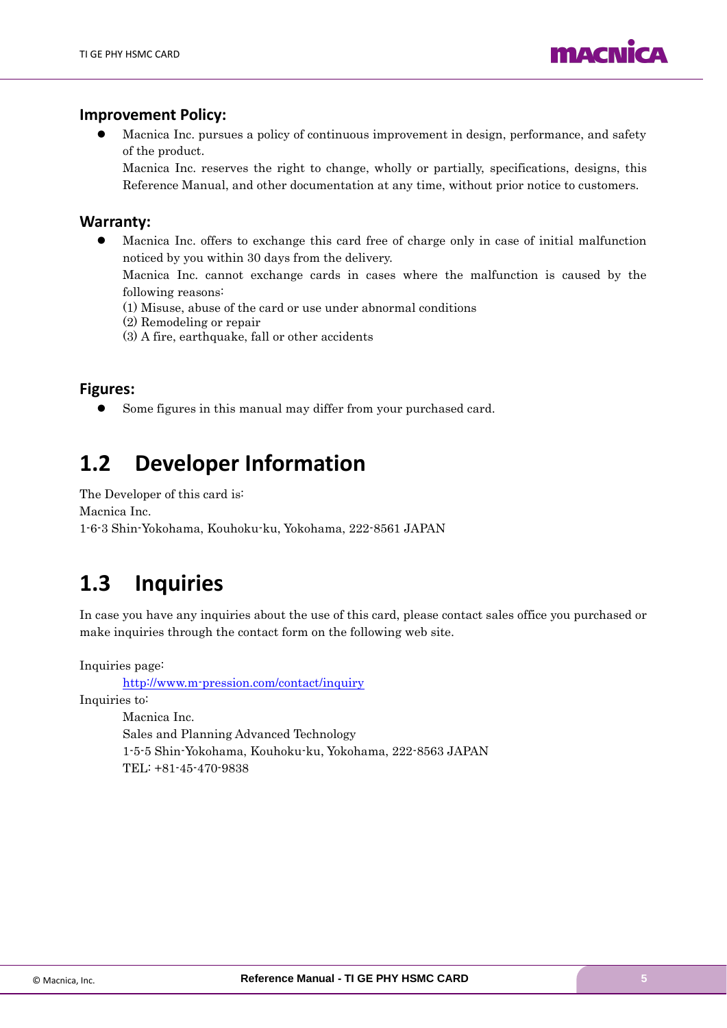

#### **Improvement Policy:**

⚫ Macnica Inc. pursues a policy of continuous improvement in design, performance, and safety of the product.

Macnica Inc. reserves the right to change, wholly or partially, specifications, designs, this Reference Manual, and other documentation at any time, without prior notice to customers.

#### **Warranty:**

⚫ Macnica Inc. offers to exchange this card free of charge only in case of initial malfunction noticed by you within 30 days from the delivery.

Macnica Inc. cannot exchange cards in cases where the malfunction is caused by the following reasons:

- (1) Misuse, abuse of the card or use under abnormal conditions
- (2) Remodeling or repair
- (3) A fire, earthquake, fall or other accidents

#### **Figures:**

⚫ Some figures in this manual may differ from your purchased card.

### <span id="page-4-0"></span>**1.2 Developer Information**

The Developer of this card is: Macnica Inc. 1-6-3 Shin-Yokohama, Kouhoku-ku, Yokohama, 222-8561 JAPAN

### <span id="page-4-1"></span>**1.3 Inquiries**

In case you have any inquiries about the use of this card, please contact sales office you purchased or make inquiries through the contact form on the following web site.

Inquiries page:

<http://www.m-pression.com/contact/inquiry>

Inquiries to:

Macnica Inc. Sales and Planning Advanced Technology 1-5-5 Shin-Yokohama, Kouhoku-ku, Yokohama, 222-8563 JAPAN TEL: +81-45-470-9838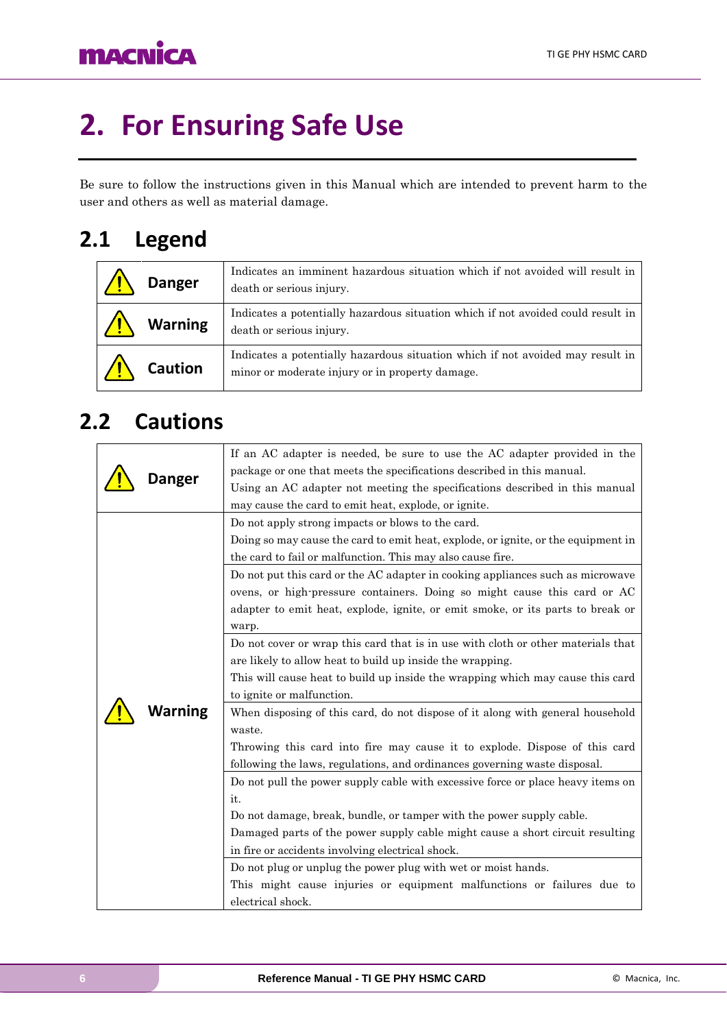# <span id="page-5-0"></span>**2. For Ensuring Safe Use**

Be sure to follow the instructions given in this Manual which are intended to prevent harm to the user and others as well as material damage.

## <span id="page-5-1"></span>**2.1 Legend**

| <b>Danger</b>  | Indicates an imminent hazardous situation which if not avoided will result in<br>death or serious injury.                         |
|----------------|-----------------------------------------------------------------------------------------------------------------------------------|
| <b>Warning</b> | Indicates a potentially hazardous situation which if not avoided could result in<br>death or serious injury.                      |
| <b>Caution</b> | Indicates a potentially hazardous situation which if not avoided may result in<br>minor or moderate injury or in property damage. |

## <span id="page-5-2"></span>**2.2 Cautions**

| Danger  | If an AC adapter is needed, be sure to use the AC adapter provided in the<br>package or one that meets the specifications described in this manual.<br>Using an AC adapter not meeting the specifications described in this manual                                                                                                                                                                                                                                                                                    |
|---------|-----------------------------------------------------------------------------------------------------------------------------------------------------------------------------------------------------------------------------------------------------------------------------------------------------------------------------------------------------------------------------------------------------------------------------------------------------------------------------------------------------------------------|
|         | may cause the card to emit heat, explode, or ignite.<br>Do not apply strong impacts or blows to the card.<br>Doing so may cause the card to emit heat, explode, or ignite, or the equipment in<br>the card to fail or malfunction. This may also cause fire.<br>Do not put this card or the AC adapter in cooking appliances such as microwave<br>ovens, or high-pressure containers. Doing so might cause this card or AC<br>adapter to emit heat, explode, ignite, or emit smoke, or its parts to break or<br>warp. |
| Warning | Do not cover or wrap this card that is in use with cloth or other materials that<br>are likely to allow heat to build up inside the wrapping.<br>This will cause heat to build up inside the wrapping which may cause this card<br>to ignite or malfunction.<br>When disposing of this card, do not dispose of it along with general household<br>waste.<br>Throwing this card into fire may cause it to explode. Dispose of this card<br>following the laws, regulations, and ordinances governing waste disposal.   |
|         | Do not pull the power supply cable with excessive force or place heavy items on<br>it.<br>Do not damage, break, bundle, or tamper with the power supply cable.<br>Damaged parts of the power supply cable might cause a short circuit resulting<br>in fire or accidents involving electrical shock.<br>Do not plug or unplug the power plug with wet or moist hands.<br>This might cause injuries or equipment malfunctions or failures due to<br>electrical shock.                                                   |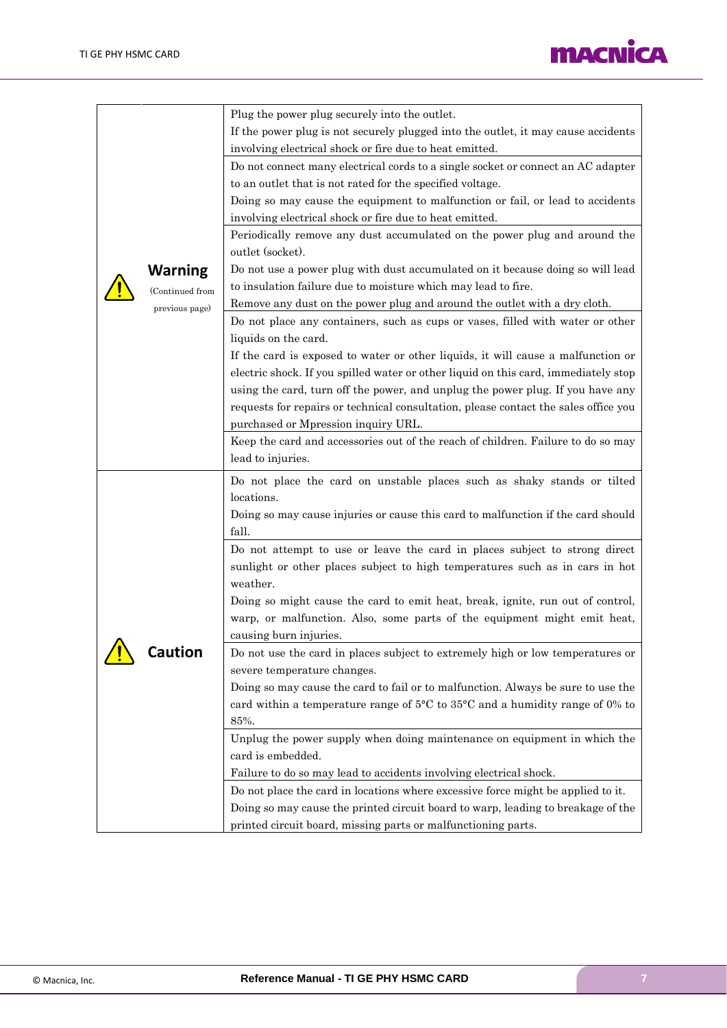

| <b>Warning</b><br>(Continued from<br>previous page) | Plug the power plug securely into the outlet.<br>If the power plug is not securely plugged into the outlet, it may cause accidents<br>involving electrical shock or fire due to heat emitted.<br>Do not connect many electrical cords to a single socket or connect an AC adapter<br>to an outlet that is not rated for the specified voltage.<br>Doing so may cause the equipment to malfunction or fail, or lead to accidents<br>involving electrical shock or fire due to heat emitted.<br>Periodically remove any dust accumulated on the power plug and around the<br>outlet (socket).<br>Do not use a power plug with dust accumulated on it because doing so will lead<br>to insulation failure due to moisture which may lead to fire.<br>Remove any dust on the power plug and around the outlet with a dry cloth.<br>Do not place any containers, such as cups or vases, filled with water or other                                                                                                                                                                                                                                                                                                                                                                         |
|-----------------------------------------------------|---------------------------------------------------------------------------------------------------------------------------------------------------------------------------------------------------------------------------------------------------------------------------------------------------------------------------------------------------------------------------------------------------------------------------------------------------------------------------------------------------------------------------------------------------------------------------------------------------------------------------------------------------------------------------------------------------------------------------------------------------------------------------------------------------------------------------------------------------------------------------------------------------------------------------------------------------------------------------------------------------------------------------------------------------------------------------------------------------------------------------------------------------------------------------------------------------------------------------------------------------------------------------------------|
|                                                     | liquids on the card.<br>If the card is exposed to water or other liquids, it will cause a malfunction or<br>electric shock. If you spilled water or other liquid on this card, immediately stop<br>using the card, turn off the power, and unplug the power plug. If you have any<br>requests for repairs or technical consultation, please contact the sales office you<br>purchased or Mpression inquiry URL.<br>Keep the card and accessories out of the reach of children. Failure to do so may<br>lead to injuries.                                                                                                                                                                                                                                                                                                                                                                                                                                                                                                                                                                                                                                                                                                                                                              |
| <b>Caution</b>                                      | Do not place the card on unstable places such as shaky stands or tilted<br>locations.<br>Doing so may cause injuries or cause this card to malfunction if the card should<br>fall.<br>Do not attempt to use or leave the card in places subject to strong direct<br>sunlight or other places subject to high temperatures such as in cars in hot<br>weather.<br>Doing so might cause the card to emit heat, break, ignite, run out of control,<br>warp, or malfunction. Also, some parts of the equipment might emit heat,<br>causing burn injuries.<br>Do not use the card in places subject to extremely high or low temperatures or<br>severe temperature changes.<br>Doing so may cause the card to fail or to malfunction. Always be sure to use the<br>card within a temperature range of $5^{\circ}$ C to $35^{\circ}$ C and a humidity range of 0% to<br>85%.<br>Unplug the power supply when doing maintenance on equipment in which the<br>card is embedded.<br>Failure to do so may lead to accidents involving electrical shock.<br>Do not place the card in locations where excessive force might be applied to it.<br>Doing so may cause the printed circuit board to warp, leading to breakage of the<br>printed circuit board, missing parts or malfunctioning parts. |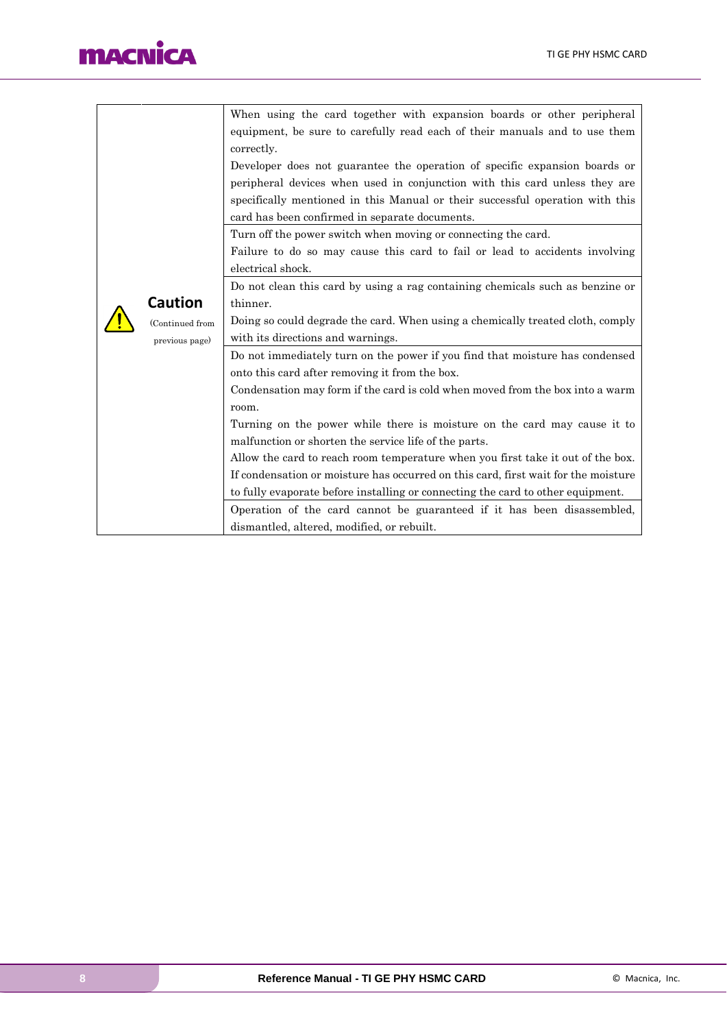## **macnica**

|                 |                                                       | When using the card together with expansion boards or other peripheral             |  |  |  |  |
|-----------------|-------------------------------------------------------|------------------------------------------------------------------------------------|--|--|--|--|
|                 |                                                       | equipment, be sure to carefully read each of their manuals and to use them         |  |  |  |  |
|                 |                                                       | correctly.                                                                         |  |  |  |  |
|                 |                                                       | Developer does not guarantee the operation of specific expansion boards or         |  |  |  |  |
|                 |                                                       | peripheral devices when used in conjunction with this card unless they are         |  |  |  |  |
|                 |                                                       | specifically mentioned in this Manual or their successful operation with this      |  |  |  |  |
|                 |                                                       | card has been confirmed in separate documents.                                     |  |  |  |  |
|                 |                                                       | Turn off the power switch when moving or connecting the card.                      |  |  |  |  |
|                 |                                                       | Failure to do so may cause this card to fail or lead to accidents involving        |  |  |  |  |
|                 |                                                       | electrical shock.                                                                  |  |  |  |  |
|                 |                                                       | Do not clean this card by using a rag containing chemicals such as benzine or      |  |  |  |  |
|                 | <b>Caution</b>                                        | thinner.                                                                           |  |  |  |  |
| (Continued from |                                                       | Doing so could degrade the card. When using a chemically treated cloth, comply     |  |  |  |  |
| previous page)  |                                                       | with its directions and warnings.                                                  |  |  |  |  |
|                 |                                                       | Do not immediately turn on the power if you find that moisture has condensed       |  |  |  |  |
|                 |                                                       | onto this card after removing it from the box.                                     |  |  |  |  |
|                 |                                                       | Condensation may form if the card is cold when moved from the box into a warm      |  |  |  |  |
|                 |                                                       | room.                                                                              |  |  |  |  |
|                 |                                                       | Turning on the power while there is moisture on the card may cause it to           |  |  |  |  |
|                 | malfunction or shorten the service life of the parts. |                                                                                    |  |  |  |  |
|                 |                                                       | Allow the card to reach room temperature when you first take it out of the box.    |  |  |  |  |
|                 |                                                       | If condensation or moisture has occurred on this card, first wait for the moisture |  |  |  |  |
|                 |                                                       | to fully evaporate before installing or connecting the card to other equipment.    |  |  |  |  |
|                 |                                                       | Operation of the card cannot be guaranteed if it has been disassembled,            |  |  |  |  |
|                 |                                                       | dismantled, altered, modified, or rebuilt.                                         |  |  |  |  |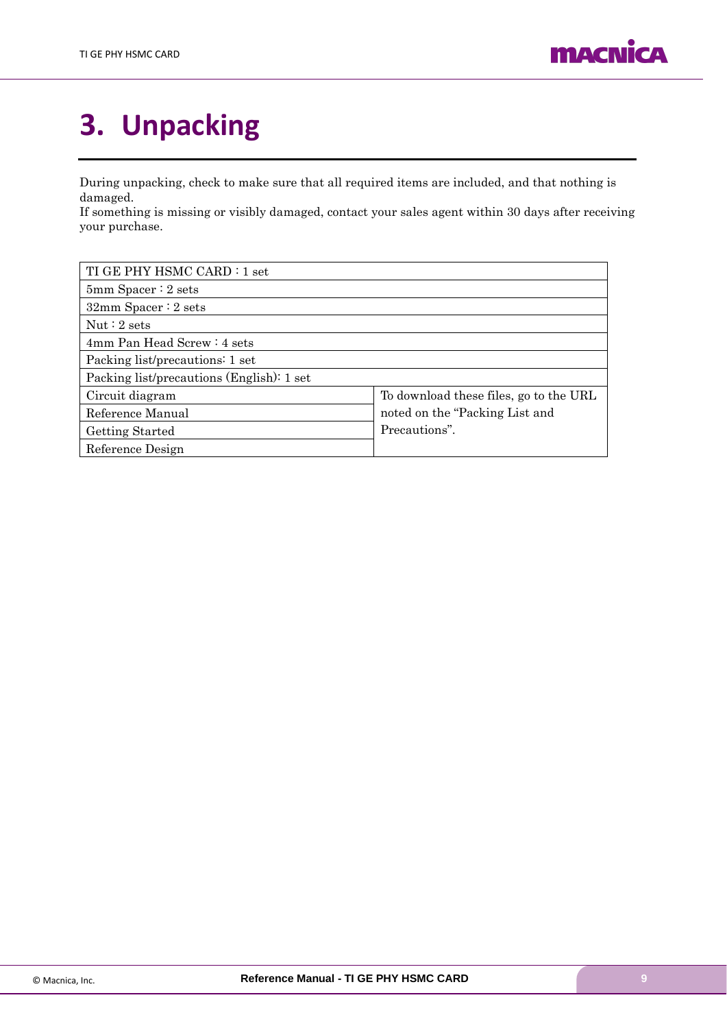

# <span id="page-8-0"></span>**3. Unpacking**

During unpacking, check to make sure that all required items are included, and that nothing is damaged.

If something is missing or visibly damaged, contact your sales agent within 30 days after receiving your purchase.

| TI GE PHY HSMC CARD : 1 set               |                                        |  |  |
|-------------------------------------------|----------------------------------------|--|--|
| $5mm$ Spacer : 2 sets                     |                                        |  |  |
| $32mm$ Spacer : 2 sets                    |                                        |  |  |
| Nut:2 sets                                |                                        |  |  |
| 4mm Pan Head Screw: 4 sets                |                                        |  |  |
| Packing list/precautions: 1 set           |                                        |  |  |
| Packing list/precautions (English): 1 set |                                        |  |  |
| Circuit diagram                           | To download these files, go to the URL |  |  |
| Reference Manual                          | noted on the "Packing List and"        |  |  |
| Getting Started                           | Precautions".                          |  |  |
| Reference Design                          |                                        |  |  |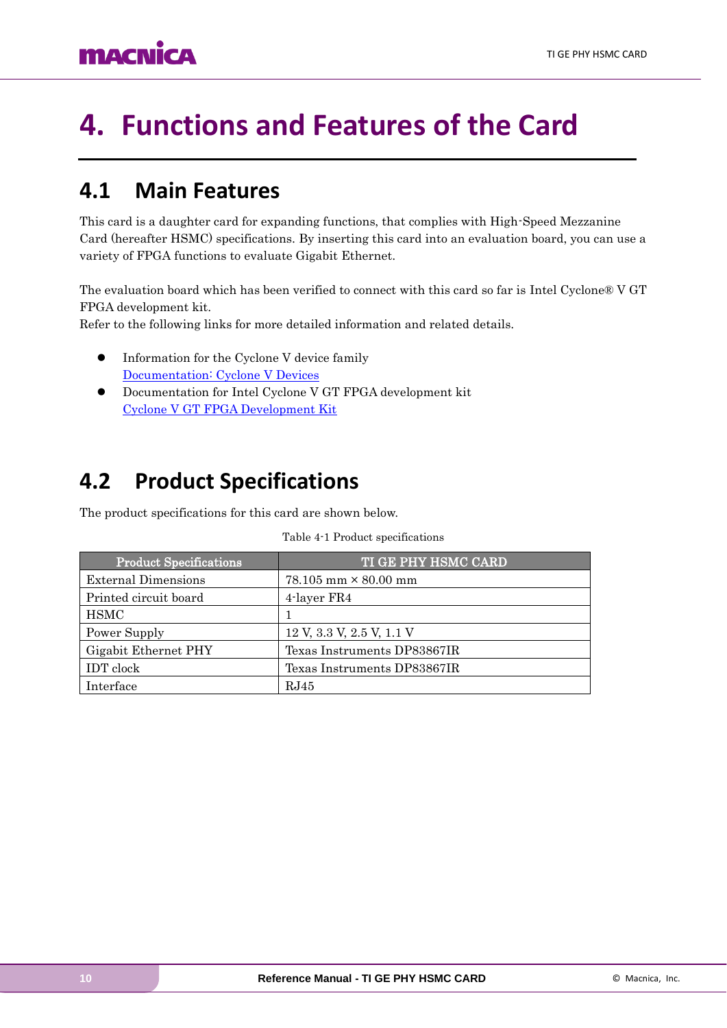# <span id="page-9-0"></span>**4. Functions and Features of the Card**

### <span id="page-9-1"></span>**4.1 Main Features**

This card is a daughter card for expanding functions, that complies with High-Speed Mezzanine Card (hereafter HSMC) specifications. By inserting this card into an evaluation board, you can use a variety of FPGA functions to evaluate Gigabit Ethernet.

The evaluation board which has been verified to connect with this card so far is Intel Cyclone® V GT FPGA development kit.

Refer to the following links for more detailed information and related details.

- ⚫ Information for the Cyclone V device family [Documentation: Cyclone](https://www.altera.com/products/fpga/cyclone-series/cyclone-v/overview.html) V Devices
- ⚫ Documentation for Intel Cyclone V GT FPGA development kit [Cyclone V GT FPGA Development Kit](https://www.intel.com/content/www/us/en/programmable/products/boards_and_kits/dev-kits/altera/kit-cyclone-v-gt.html)

### <span id="page-9-2"></span>**4.2 Product Specifications**

The product specifications for this card are shown below.

| <b>Product Specifications</b> | <b>TI GE PHY HSMC CARD</b>    |
|-------------------------------|-------------------------------|
| <b>External Dimensions</b>    | $78.105$ mm $\times$ 80.00 mm |
| Printed circuit board         | 4-layer FR4                   |
| <b>HSMC</b>                   |                               |
| Power Supply                  | 12 V, 3.3 V, 2.5 V, 1.1 V     |
| Gigabit Ethernet PHY          | Texas Instruments DP83867IR   |
| <b>IDT</b> clock              | Texas Instruments DP83867IR   |
| Interface                     | RJ45                          |

#### Table 4-1 Product specifications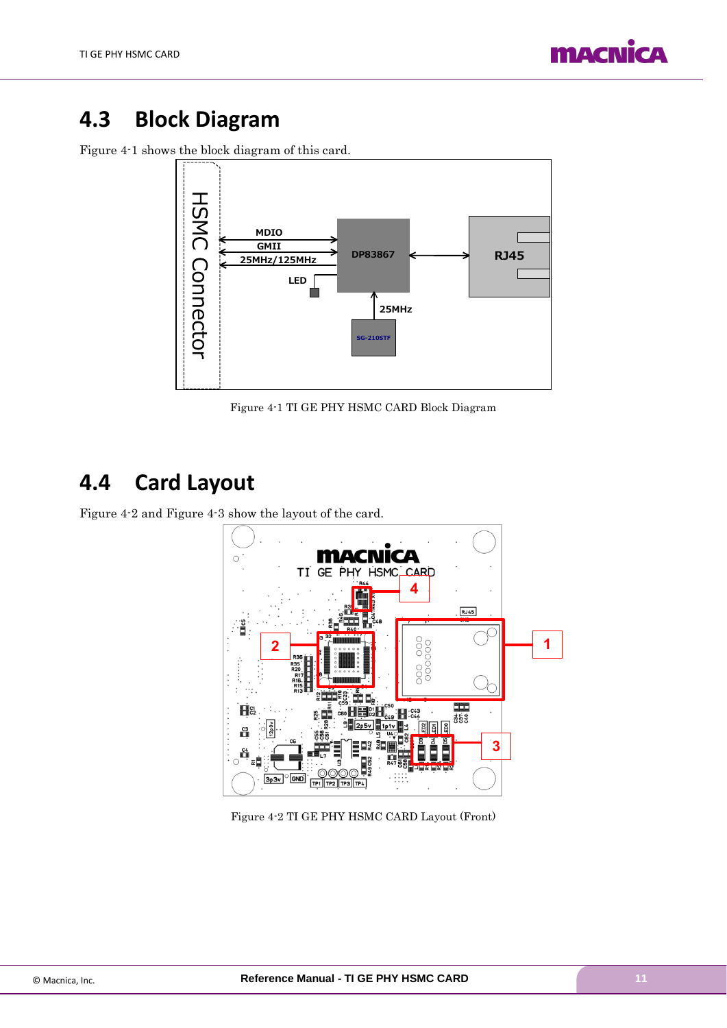

### <span id="page-10-0"></span>**4.3 Block Diagram**

[Figure](#page-10-2) 4-1 shows the block diagram of this card.



Figure 4-1 TI GE PHY HSMC CARD Block Diagram

### <span id="page-10-2"></span><span id="page-10-1"></span>**4.4 Card Layout**

[Figure 4-2](#page-10-3) and [Figure 4-3](#page-11-0) show the layout of the card.



<span id="page-10-3"></span>Figure 4-2 TI GE PHY HSMC CARD Layout (Front)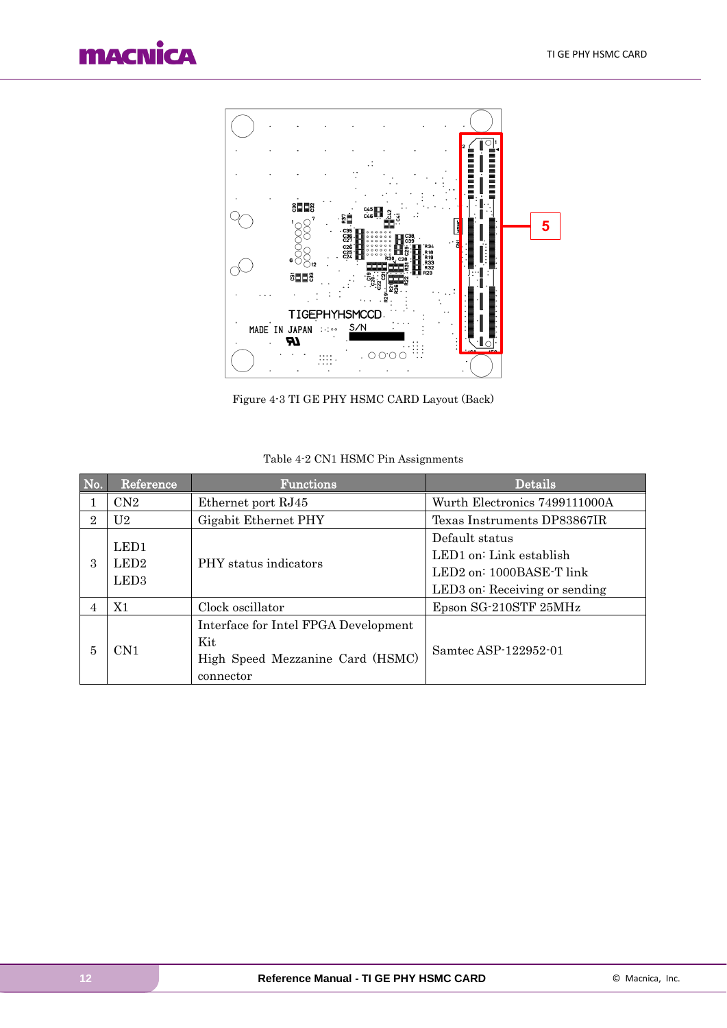



Figure 4-3 TI GE PHY HSMC CARD Layout (Back)

<span id="page-11-0"></span>

| No.            | Reference        | Functions                            | Details                       |
|----------------|------------------|--------------------------------------|-------------------------------|
|                | CN2              | Ethernet port RJ45                   | Wurth Electronics 7499111000A |
| $\overline{2}$ | U2.              | Gigabit Ethernet PHY                 | Texas Instruments DP83867IR   |
|                | LED1             |                                      | Default status                |
| 3              | LED <sub>2</sub> | PHY status indicators                | LED1 on: Link establish       |
|                | LED <sub>3</sub> |                                      | LED2 on: 1000BASE-T link      |
|                |                  |                                      | LED3 on: Receiving or sending |
| 4              | X1               | Clock oscillator                     | Epson SG-210STF 25MHz         |
|                |                  | Interface for Intel FPGA Development |                               |
| 5              | CN1              | Kit                                  | Samtec ASP-122952-01          |
|                |                  | High Speed Mezzanine Card (HSMC)     |                               |
|                |                  | connector                            |                               |

#### Table 4-2 CN1 HSMC Pin Assignments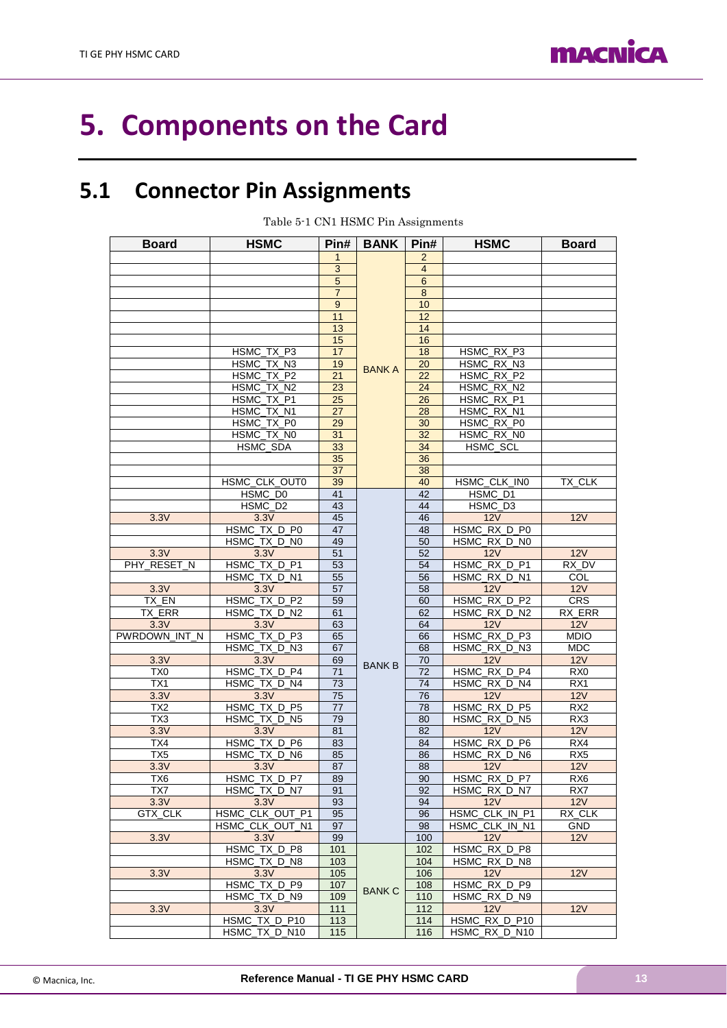

# <span id="page-12-0"></span>**5. Components on the Card**

## <span id="page-12-1"></span>**5.1 Connector Pin Assignments**

Table 5-1 CN1 HSMC Pin Assignments

| <b>Board</b>    | <b>HSMC</b>          | Pin#            | <b>BANK</b>   | Pin#           | <b>HSMC</b>    | <b>Board</b>    |
|-----------------|----------------------|-----------------|---------------|----------------|----------------|-----------------|
|                 |                      | $\mathbf{1}$    |               | $\overline{2}$ |                |                 |
|                 |                      | $\mathbf{3}$    |               | $\overline{4}$ |                |                 |
|                 |                      | 5               |               | 6              |                |                 |
|                 |                      | $\overline{7}$  |               | 8              |                |                 |
|                 |                      | 9               |               | 10             |                |                 |
|                 |                      | 11              |               | 12             |                |                 |
|                 |                      | 13              |               | 14             |                |                 |
|                 |                      | 15              |               | 16             |                |                 |
|                 | HSMC TX P3           | 17              |               | 18             | HSMC RX P3     |                 |
|                 | HSMC_TX_N3           | 19              | <b>BANKA</b>  | 20             | HSMC_RX_N3     |                 |
|                 | HSMC TX P2           | 21              |               | 22             | HSMC RX P2     |                 |
|                 | HSMC TX N2           | 23              |               | 24             | HSMC_RX_N2     |                 |
|                 | HSMC_TX_P1           | 25              |               | 26             | HSMC_RX_P1     |                 |
|                 | HSMC TX N1           | $\overline{27}$ |               | 28             | HSMC RX N1     |                 |
|                 | HSMC_TX_P0           | 29              |               | 30             | HSMC RX P0     |                 |
|                 | HSMC_TX_N0           | 31              |               | 32             | HSMC RX N0     |                 |
|                 | HSMC SDA             | 33              |               | 34             | HSMC SCL       |                 |
|                 |                      | 35              |               | 36             |                |                 |
|                 |                      | 37              |               | 38             |                |                 |
|                 | <b>HSMC CLK OUT0</b> | 39              |               | 40             | HSMC CLK IN0   | TX CLK          |
|                 | HSMC D <sub>0</sub>  | 41              |               | 42             | HSMC D1        |                 |
|                 | HSMC D <sub>2</sub>  | 43              |               | 44             | HSMC D3        |                 |
| 3.3V            | 3.3V                 | 45              |               | 46             | 12V            | 12V             |
|                 | HSMC TX D P0         | 47              |               | 48             | HSMC_RX_D_P0   |                 |
|                 | HSMC_TX_D_N0         | 49              |               | 50             | HSMC RX D N0   |                 |
| 3.3V            | 3.3V                 | 51              |               | 52             | 12V            | 12V             |
| PHY RESET N     | HSMC_TX_D_P1         | 53              |               | 54             | HSMC_RX_D_P1   | RX DV           |
|                 | HSMC_TX_D_N1         | 55              |               | 56             | HSMC_RX_D_N1   | COL             |
| 3.3V            | 3.3V                 | 57              |               | 58             | 12V            | 12V             |
| TX EN           | HSMC_TX_D_P2         | 59              |               | 60             | HSMC_RX_D_P2   | CRS             |
| TX_ERR          | HSMC_TX_D_N2         | 61              |               | 62             | HSMC_RX_D_N2   | RX_ERR          |
| 3.3V            | 3.3V                 | 63              |               | 64             | 12V            | 12V             |
| PWRDOWN INT N   | HSMC TX D P3         | 65              |               | 66             | HSMC_RX_D_P3   | <b>MDIO</b>     |
|                 | HSMC_TX_D_N3         | 67              |               | 68             | HSMC_RX_D_N3   | <b>MDC</b>      |
| 3.3V            | 3.3V                 | 69              | <b>BANK B</b> | 70             | 12V            | 12V             |
| TX <sub>0</sub> | HSMC_TX_D_P4         | 71              |               | 72             | HSMC_RX_D_P4   | RX <sub>0</sub> |
| TX1             | HSMC_TX_D_N4         | 73              |               | 74             | HSMC_RX_D_N4   | RX1             |
| 3.3V            | 3.3V                 | 75              |               | 76             | 12V            | 12V             |
| TX <sub>2</sub> | HSMC_TX_D_P5         | 77              |               | 78             | HSMC_RX_D_P5   | RX <sub>2</sub> |
| TX <sub>3</sub> | HSMC_TX_D_N5         | 79              |               | 80             | HSMC_RX_D_N5   | RX3             |
| 3.3V            | 3.3V                 | 81              |               | 82             | 12V            | 12V             |
| TX4             | HSMC_TX_D_P6         | 83              |               | 84             | HSMC RX D P6   | RX4             |
| TX <sub>5</sub> | HSMC_TX_D_N6         | 85              |               | 86             | HSMC_RX_D_N6   | RX <sub>5</sub> |
| 3.3V            | 3.3V                 | 87              |               | 88             | 12V            | 12V             |
| TX6             | HSMC_TX_D_P7         | 89              |               | 90             | HSMC_RX_D_P7   | RX <sub>6</sub> |
| TX7             | HSMC_TX_D_N7         | 91              |               | 92             | HSMC RX D N7   | RX7             |
| 3.3V            | 3.3V                 | 93              |               | 94             | 12V            | 12V             |
| GTX_CLK         | HSMC_CLK_OUT_P1      | 95              |               | 96             | HSMC_CLK_IN_P1 | RX_CLK          |
|                 | HSMC CLK OUT N1      | 97              |               | 98             | HSMC_CLK_IN_N1 | <b>GND</b>      |
| 3.3V            | 3.3V                 | 99              |               | 100            | 12V            | 12V             |
|                 | HSMC TX D P8         | 101             |               | 102            | HSMC_RX_D_P8   |                 |
|                 | HSMC_TX_D_N8         | 103             |               | 104            | HSMC_RX_D_N8   |                 |
| 3.3V            | 3.3V                 | 105             |               | 106            | 12V            | 12V             |
|                 | HSMC_TX_D_P9         | 107             | <b>BANK C</b> | 108            | HSMC_RX_D_P9   |                 |
|                 | HSMC_TX_D_N9         | 109             |               | 110            | HSMC_RX_D_N9   |                 |
| 3.3V            | 3.3V                 | 111             |               | 112            | 12V            | 12V             |
|                 | HSMC_TX_D_P10        | 113             |               | 114            | HSMC_RX_D_P10  |                 |
|                 | HSMC TX D N10        | 115             |               | 116            | HSMC_RX_D_N10  |                 |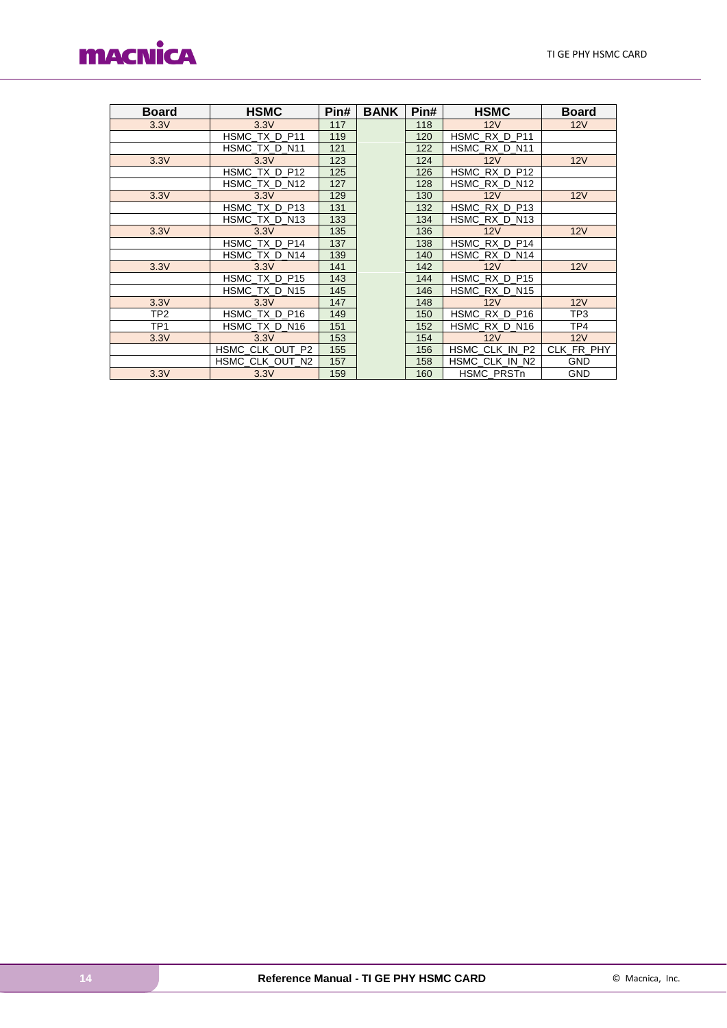

| <b>Board</b>    | <b>HSMC</b>     | Pin# | <b>BANK</b> | Pin# | <b>HSMC</b>    | <b>Board</b> |
|-----------------|-----------------|------|-------------|------|----------------|--------------|
| 3.3V            | 3.3V            | 117  |             | 118  | 12V            | 12V          |
|                 | HSMC TX D P11   | 119  |             | 120  | HSMC RX D P11  |              |
|                 | HSMC_TX_D_N11   | 121  |             | 122  | HSMC RX D N11  |              |
| 3.3V            | 3.3V            | 123  |             | 124  | 12V            | 12V          |
|                 | HSMC TX D P12   | 125  |             | 126  | HSMC RX D P12  |              |
|                 | HSMC TX D N12   | 127  |             | 128  | HSMC RX D N12  |              |
| 3.3V            | 3.3V            | 129  |             | 130  | 12V            | 12V          |
|                 | HSMC TX D P13   | 131  |             | 132  | HSMC_RX_D_P13  |              |
|                 | HSMC TX D N13   | 133  |             | 134  | HSMC RX D N13  |              |
| 3.3V            | 3.3V            | 135  |             | 136  | 12V            | 12V          |
|                 | HSMC TX D P14   | 137  |             | 138  | HSMC_RX_D_P14  |              |
|                 | HSMC TX D N14   | 139  |             | 140  | HSMC RX D N14  |              |
| 3.3V            | 3.3V            | 141  |             | 142  | 12V            | 12V          |
|                 | HSMC TX D P15   | 143  |             | 144  | HSMC RX D P15  |              |
|                 | HSMC TX D N15   | 145  |             | 146  | HSMC RX D N15  |              |
| 3.3V            | 3.3V            | 147  |             | 148  | 12V            | 12V          |
| TP <sub>2</sub> | HSMC TX D P16   | 149  |             | 150  | HSMC RX D P16  | TP3          |
| TP <sub>1</sub> | HSMC TX D N16   | 151  |             | 152  | HSMC RX D N16  | TP4          |
| 3.3V            | 3.3V            | 153  |             | 154  | 12V            | 12V          |
|                 | HSMC CLK OUT P2 | 155  |             | 156  | HSMC_CLK_IN_P2 | CLK FR PHY   |
|                 | HSMC CLK OUT N2 | 157  |             | 158  | HSMC CLK IN N2 | <b>GND</b>   |
| 3.3V            | 3.3V            | 159  |             | 160  | HSMC PRSTn     | <b>GND</b>   |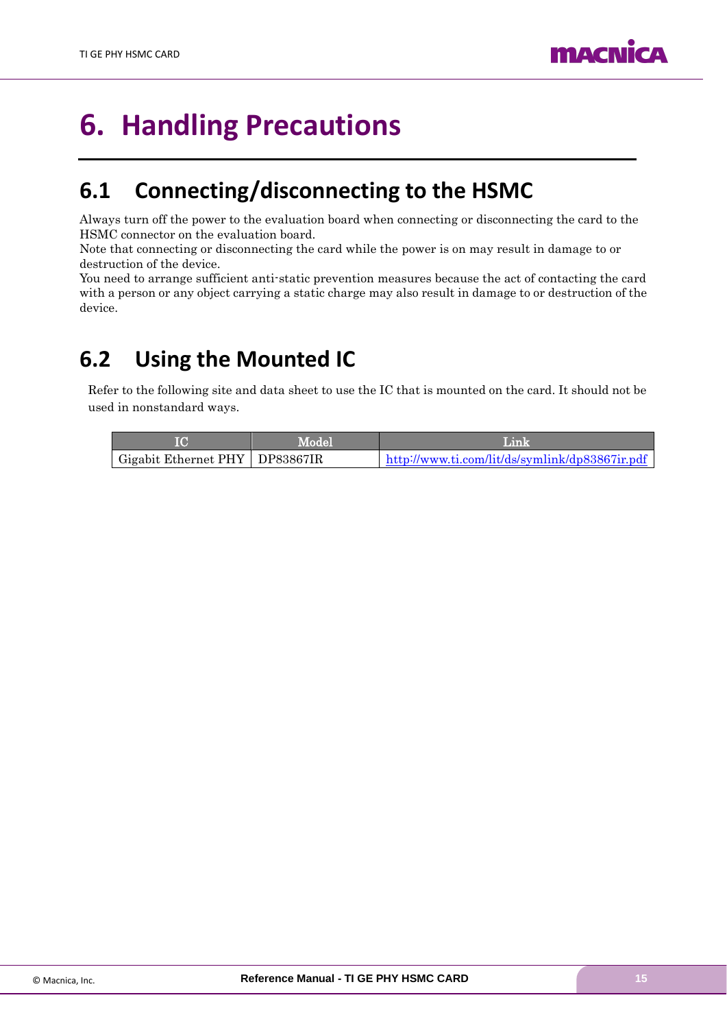

# <span id="page-14-0"></span>**6. Handling Precautions**

## <span id="page-14-1"></span>**6.1 Connecting/disconnecting to the HSMC**

Always turn off the power to the evaluation board when connecting or disconnecting the card to the HSMC connector on the evaluation board.

Note that connecting or disconnecting the card while the power is on may result in damage to or destruction of the device.

You need to arrange sufficient anti-static prevention measures because the act of contacting the card with a person or any object carrying a static charge may also result in damage to or destruction of the device.

## <span id="page-14-2"></span>**6.2 Using the Mounted IC**

Refer to the following site and data sheet to use the IC that is mounted on the card. It should not be used in nonstandard ways.

|                                  | Model | Link                                           |  |  |
|----------------------------------|-------|------------------------------------------------|--|--|
| Gigabit Ethernet PHY   DP83867IR |       | http://www.ti.com/lit/ds/symlink/dp83867ir.pdf |  |  |